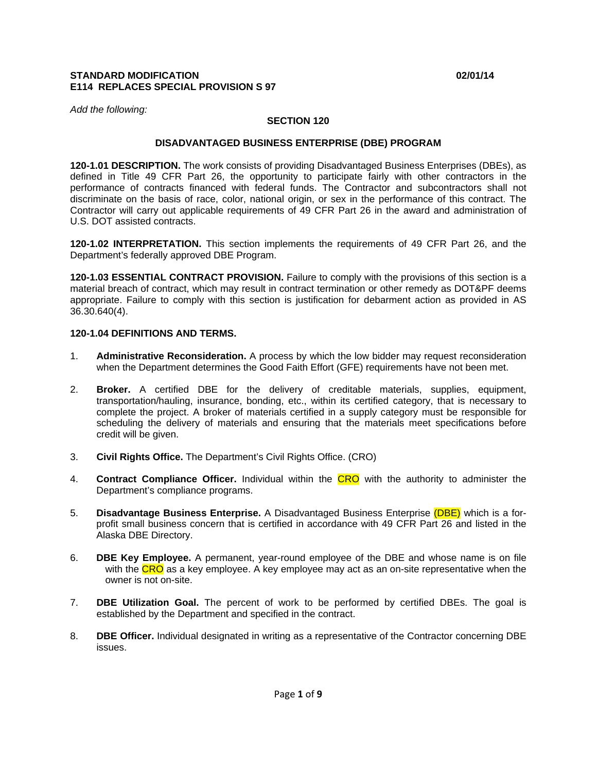#### **STANDARD MODIFICATION 02/01/14 E114 REPLACES SPECIAL PROVISION S 97**

*Add the following:* 

## **SECTION 120**

#### **DISADVANTAGED BUSINESS ENTERPRISE (DBE) PROGRAM**

**120-1.01 DESCRIPTION.** The work consists of providing Disadvantaged Business Enterprises (DBEs), as defined in Title 49 CFR Part 26, the opportunity to participate fairly with other contractors in the performance of contracts financed with federal funds. The Contractor and subcontractors shall not discriminate on the basis of race, color, national origin, or sex in the performance of this contract. The Contractor will carry out applicable requirements of 49 CFR Part 26 in the award and administration of U.S. DOT assisted contracts.

**120-1.02 INTERPRETATION.** This section implements the requirements of 49 CFR Part 26, and the Department's federally approved DBE Program.

**120-1.03 ESSENTIAL CONTRACT PROVISION.** Failure to comply with the provisions of this section is a material breach of contract, which may result in contract termination or other remedy as DOT&PF deems appropriate. Failure to comply with this section is justification for debarment action as provided in AS 36.30.640(4).

#### **120-1.04 DEFINITIONS AND TERMS.**

- 1. **Administrative Reconsideration.** A process by which the low bidder may request reconsideration when the Department determines the Good Faith Effort (GFE) requirements have not been met.
- 2. **Broker.** A certified DBE for the delivery of creditable materials, supplies, equipment, transportation/hauling, insurance, bonding, etc., within its certified category, that is necessary to complete the project. A broker of materials certified in a supply category must be responsible for scheduling the delivery of materials and ensuring that the materials meet specifications before credit will be given.
- 3. **Civil Rights Office.** The Department's Civil Rights Office. (CRO)
- 4. **Contract Compliance Officer.** Individual within the CRO with the authority to administer the Department's compliance programs.
- 5. **Disadvantage Business Enterprise.** A Disadvantaged Business Enterprise (DBE) which is a forprofit small business concern that is certified in accordance with 49 CFR Part 26 and listed in the Alaska DBE Directory.
- 6. **DBE Key Employee.** A permanent, year-round employee of the DBE and whose name is on file with the CRO as a key employee. A key employee may act as an on-site representative when the owner is not on-site.
- 7. **DBE Utilization Goal.** The percent of work to be performed by certified DBEs. The goal is established by the Department and specified in the contract.
- 8. **DBE Officer.** Individual designated in writing as a representative of the Contractor concerning DBE issues.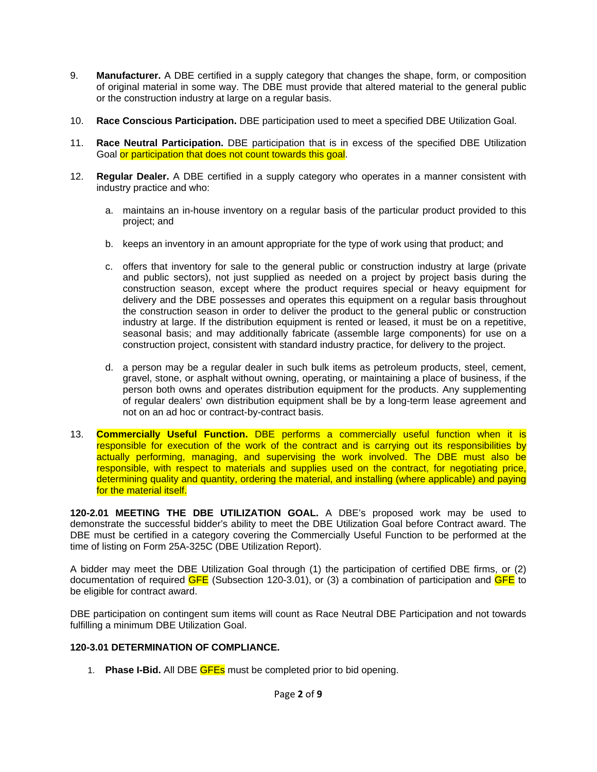- 9. **Manufacturer.** A DBE certified in a supply category that changes the shape, form, or composition of original material in some way. The DBE must provide that altered material to the general public or the construction industry at large on a regular basis.
- 10. **Race Conscious Participation.** DBE participation used to meet a specified DBE Utilization Goal.
- 11. **Race Neutral Participation.** DBE participation that is in excess of the specified DBE Utilization Goal or participation that does not count towards this goal.
- 12. **Regular Dealer.** A DBE certified in a supply category who operates in a manner consistent with industry practice and who:
	- a. maintains an in-house inventory on a regular basis of the particular product provided to this project; and
	- b. keeps an inventory in an amount appropriate for the type of work using that product; and
	- c. offers that inventory for sale to the general public or construction industry at large (private and public sectors), not just supplied as needed on a project by project basis during the construction season, except where the product requires special or heavy equipment for delivery and the DBE possesses and operates this equipment on a regular basis throughout the construction season in order to deliver the product to the general public or construction industry at large. If the distribution equipment is rented or leased, it must be on a repetitive, seasonal basis; and may additionally fabricate (assemble large components) for use on a construction project, consistent with standard industry practice, for delivery to the project.
	- d. a person may be a regular dealer in such bulk items as petroleum products, steel, cement, gravel, stone, or asphalt without owning, operating, or maintaining a place of business, if the person both owns and operates distribution equipment for the products. Any supplementing of regular dealers' own distribution equipment shall be by a long-term lease agreement and not on an ad hoc or contract-by-contract basis.
- 13. **Commercially Useful Function.** DBE performs a commercially useful function when it is responsible for execution of the work of the contract and is carrying out its responsibilities by actually performing, managing, and supervising the work involved. The DBE must also be responsible, with respect to materials and supplies used on the contract, for negotiating price, determining quality and quantity, ordering the material, and installing (where applicable) and paying for the material itself.

**120-2.01 MEETING THE DBE UTILIZATION GOAL.** A DBE's proposed work may be used to demonstrate the successful bidder's ability to meet the DBE Utilization Goal before Contract award. The DBE must be certified in a category covering the Commercially Useful Function to be performed at the time of listing on Form 25A-325C (DBE Utilization Report).

A bidder may meet the DBE Utilization Goal through (1) the participation of certified DBE firms, or (2) documentation of required  $GFE$  (Subsection 120-3.01), or (3) a combination of participation and  $GFE$  to be eligible for contract award.

DBE participation on contingent sum items will count as Race Neutral DBE Participation and not towards fulfilling a minimum DBE Utilization Goal.

## **120-3.01 DETERMINATION OF COMPLIANCE.**

1. **Phase I-Bid.** All DBE GFEs must be completed prior to bid opening.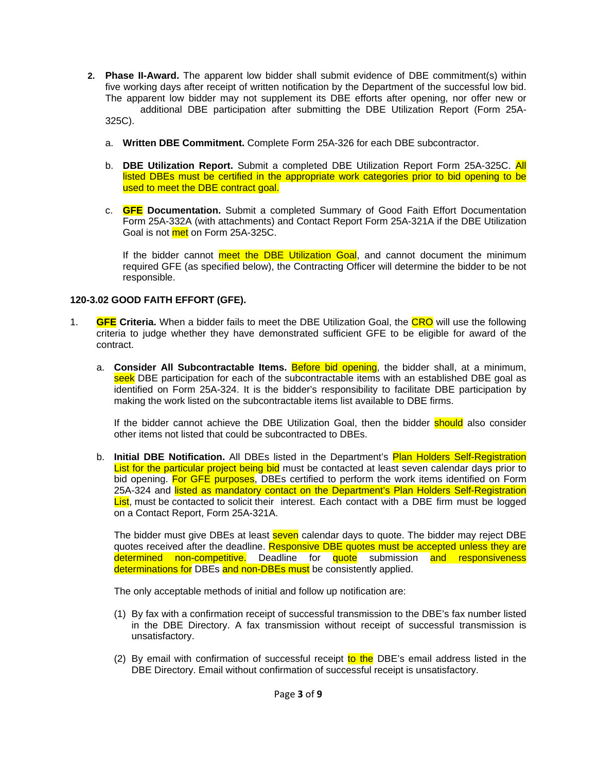- **2. Phase II-Award.** The apparent low bidder shall submit evidence of DBE commitment(s) within five working days after receipt of written notification by the Department of the successful low bid. The apparent low bidder may not supplement its DBE efforts after opening, nor offer new or additional DBE participation after submitting the DBE Utilization Report (Form 25A-325C).
	- a. **Written DBE Commitment.** Complete Form 25A-326 for each DBE subcontractor.
	- b. **DBE Utilization Report.** Submit a completed DBE Utilization Report Form 25A-325C. All listed DBEs must be certified in the appropriate work categories prior to bid opening to be used to meet the DBE contract goal.
	- c. **GFE Documentation.** Submit a completed Summary of Good Faith Effort Documentation Form 25A-332A (with attachments) and Contact Report Form 25A-321A if the DBE Utilization Goal is not met on Form 25A-325C.

If the bidder cannot meet the DBE Utilization Goal, and cannot document the minimum required GFE (as specified below), the Contracting Officer will determine the bidder to be not responsible.

## **120-3.02 GOOD FAITH EFFORT (GFE).**

- 1. **GFE Criteria.** When a bidder fails to meet the DBE Utilization Goal, the CRO will use the following criteria to judge whether they have demonstrated sufficient GFE to be eligible for award of the contract.
	- a. **Consider All Subcontractable Items.** Before bid opening, the bidder shall, at a minimum, seek DBE participation for each of the subcontractable items with an established DBE goal as identified on Form 25A-324. It is the bidder's responsibility to facilitate DBE participation by making the work listed on the subcontractable items list available to DBE firms.

If the bidder cannot achieve the DBE Utilization Goal, then the bidder should also consider other items not listed that could be subcontracted to DBEs.

b. **Initial DBE Notification.** All DBEs listed in the Department's Plan Holders Self-Registration List for the particular project being bid must be contacted at least seven calendar days prior to bid opening. For GFE purposes, DBEs certified to perform the work items identified on Form 25A-324 and listed as mandatory contact on the Department's Plan Holders Self-Registration List, must be contacted to solicit their interest. Each contact with a DBE firm must be logged on a Contact Report, Form 25A-321A.

The bidder must give DBEs at least seven calendar days to quote. The bidder may reject DBE quotes received after the deadline. Responsive DBE quotes must be accepted unless they are determined non-competitive. Deadline for quote submission and responsiveness determinations for DBEs and non-DBEs must be consistently applied.

The only acceptable methods of initial and follow up notification are:

- (1) By fax with a confirmation receipt of successful transmission to the DBE's fax number listed in the DBE Directory. A fax transmission without receipt of successful transmission is unsatisfactory.
- (2) By email with confirmation of successful receipt to the DBE's email address listed in the DBE Directory. Email without confirmation of successful receipt is unsatisfactory.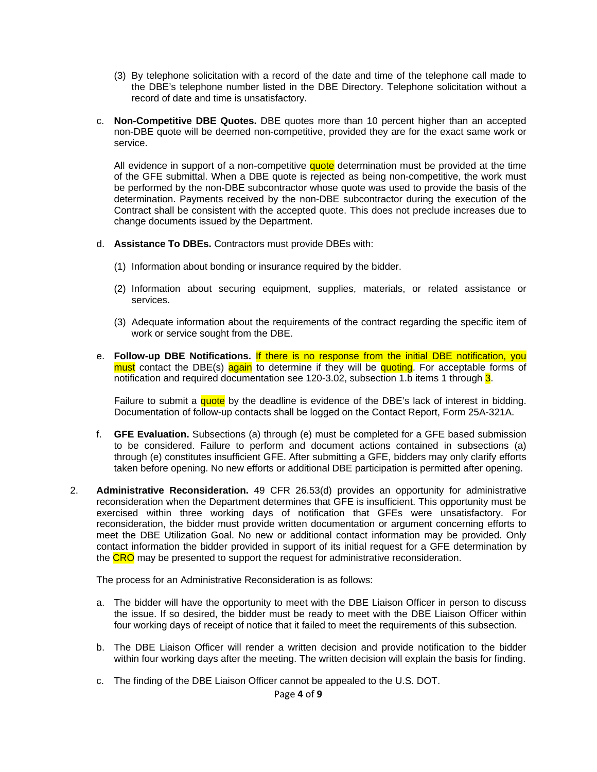- (3) By telephone solicitation with a record of the date and time of the telephone call made to the DBE's telephone number listed in the DBE Directory. Telephone solicitation without a record of date and time is unsatisfactory.
- c. **Non-Competitive DBE Quotes.** DBE quotes more than 10 percent higher than an accepted non-DBE quote will be deemed non-competitive, provided they are for the exact same work or service.

All evidence in support of a non-competitive quote determination must be provided at the time of the GFE submittal. When a DBE quote is rejected as being non-competitive, the work must be performed by the non-DBE subcontractor whose quote was used to provide the basis of the determination. Payments received by the non-DBE subcontractor during the execution of the Contract shall be consistent with the accepted quote. This does not preclude increases due to change documents issued by the Department.

- d. **Assistance To DBEs.** Contractors must provide DBEs with:
	- (1) Information about bonding or insurance required by the bidder.
	- (2) Information about securing equipment, supplies, materials, or related assistance or services.
	- (3) Adequate information about the requirements of the contract regarding the specific item of work or service sought from the DBE.
- e. **Follow-up DBE Notifications.** If there is no response from the initial DBE notification, you must contact the DBE(s) again to determine if they will be quoting. For acceptable forms of notification and required documentation see 120-3.02, subsection 1.b items 1 through 3.

Failure to submit a quote by the deadline is evidence of the DBE's lack of interest in bidding. Documentation of follow-up contacts shall be logged on the Contact Report, Form 25A-321A.

- f. **GFE Evaluation.** Subsections (a) through (e) must be completed for a GFE based submission to be considered. Failure to perform and document actions contained in subsections (a) through (e) constitutes insufficient GFE. After submitting a GFE, bidders may only clarify efforts taken before opening. No new efforts or additional DBE participation is permitted after opening.
- 2. **Administrative Reconsideration.** 49 CFR 26.53(d) provides an opportunity for administrative reconsideration when the Department determines that GFE is insufficient. This opportunity must be exercised within three working days of notification that GFEs were unsatisfactory. For reconsideration, the bidder must provide written documentation or argument concerning efforts to meet the DBE Utilization Goal. No new or additional contact information may be provided. Only contact information the bidder provided in support of its initial request for a GFE determination by the CRO may be presented to support the request for administrative reconsideration.

The process for an Administrative Reconsideration is as follows:

- a. The bidder will have the opportunity to meet with the DBE Liaison Officer in person to discuss the issue. If so desired, the bidder must be ready to meet with the DBE Liaison Officer within four working days of receipt of notice that it failed to meet the requirements of this subsection.
- b. The DBE Liaison Officer will render a written decision and provide notification to the bidder within four working days after the meeting. The written decision will explain the basis for finding.
- c. The finding of the DBE Liaison Officer cannot be appealed to the U.S. DOT.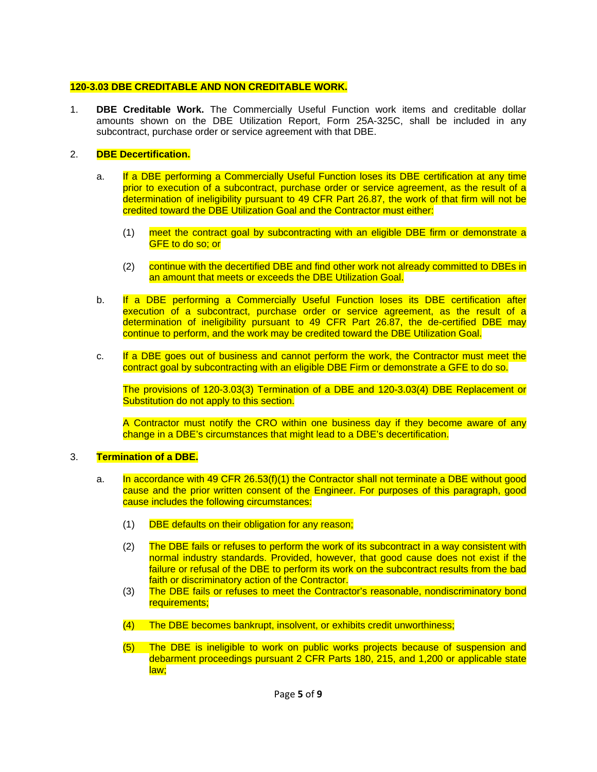## **120-3.03 DBE CREDITABLE AND NON CREDITABLE WORK.**

1. **DBE Creditable Work.** The Commercially Useful Function work items and creditable dollar amounts shown on the DBE Utilization Report, Form 25A-325C, shall be included in any subcontract, purchase order or service agreement with that DBE.

## 2. **DBE Decertification.**

- a. If a DBE performing a Commercially Useful Function loses its DBE certification at any time prior to execution of a subcontract, purchase order or service agreement, as the result of a determination of ineligibility pursuant to 49 CFR Part 26.87, the work of that firm will not be credited toward the DBE Utilization Goal and the Contractor must either:
	- (1) meet the contract goal by subcontracting with an eligible DBE firm or demonstrate a GFE to do so; or
	- (2) continue with the decertified DBE and find other work not already committed to DBEs in an amount that meets or exceeds the DBE Utilization Goal.
- b. If a DBE performing a Commercially Useful Function loses its DBE certification after execution of a subcontract, purchase order or service agreement, as the result of a determination of ineligibility pursuant to 49 CFR Part 26.87, the de-certified DBE may continue to perform, and the work may be credited toward the DBE Utilization Goal.
- c. If a DBE goes out of business and cannot perform the work, the Contractor must meet the contract goal by subcontracting with an eligible DBE Firm or demonstrate a GFE to do so.

The provisions of 120-3.03(3) Termination of a DBE and 120-3.03(4) DBE Replacement or Substitution do not apply to this section.

A Contractor must notify the CRO within one business day if they become aware of any change in a DBE's circumstances that might lead to a DBE's decertification.

#### 3. **Termination of a DBE.**

- a. In accordance with 49 CFR 26.53(f)(1) the Contractor shall not terminate a DBE without good cause and the prior written consent of the Engineer. For purposes of this paragraph, good cause includes the following circumstances:
	- (1) DBE defaults on their obligation for any reason;
	- (2) The DBE fails or refuses to perform the work of its subcontract in a way consistent with normal industry standards. Provided, however, that good cause does not exist if the failure or refusal of the DBE to perform its work on the subcontract results from the bad faith or discriminatory action of the Contractor.
	- (3) The DBE fails or refuses to meet the Contractor's reasonable, nondiscriminatory bond requirements:
	- (4) The DBE becomes bankrupt, insolvent, or exhibits credit unworthiness;
	- (5) The DBE is ineligible to work on public works projects because of suspension and debarment proceedings pursuant 2 CFR Parts 180, 215, and 1,200 or applicable state law;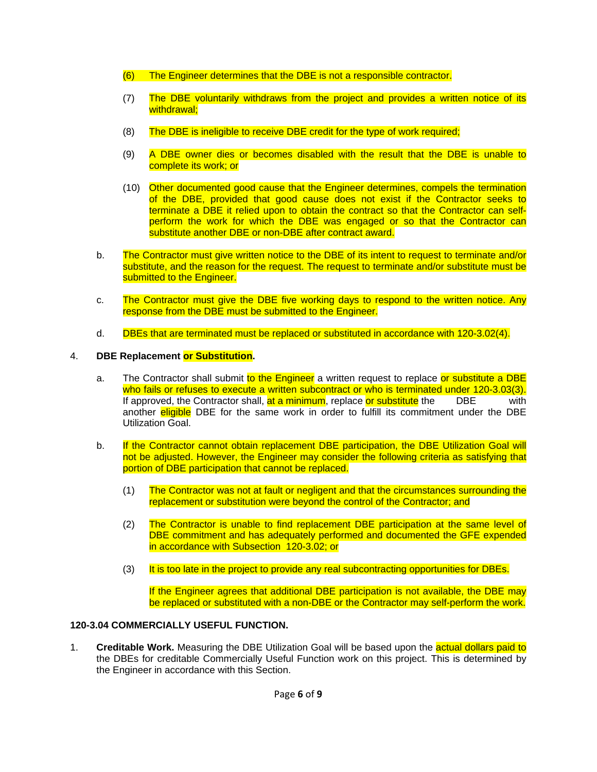- (6) The Engineer determines that the DBE is not a responsible contractor.
- (7) The DBE voluntarily withdraws from the project and provides a written notice of its withdrawal:
- (8) The DBE is ineligible to receive DBE credit for the type of work required;
- (9) A DBE owner dies or becomes disabled with the result that the DBE is unable to complete its work; or
- (10) Other documented good cause that the Engineer determines, compels the termination of the DBE, provided that good cause does not exist if the Contractor seeks to terminate a DBE it relied upon to obtain the contract so that the Contractor can selfperform the work for which the DBE was engaged or so that the Contractor can substitute another DBE or non-DBE after contract award.
- b. The Contractor must give written notice to the DBE of its intent to request to terminate and/or substitute, and the reason for the request. The request to terminate and/or substitute must be submitted to the Engineer.
- c. The Contractor must give the DBE five working days to respond to the written notice. Any response from the DBE must be submitted to the Engineer.
- d. DBEs that are terminated must be replaced or substituted in accordance with 120-3.02(4).

# 4. **DBE Replacement or Substitution.**

- a. The Contractor shall submit to the Engineer a written request to replace or substitute a DBE who fails or refuses to execute a written subcontract or who is terminated under 120-3.03(3). If approved, the Contractor shall, at a minimum, replace or substitute the DBE with another **eligible** DBE for the same work in order to fulfill its commitment under the DBE Utilization Goal.
- b. If the Contractor cannot obtain replacement DBE participation, the DBE Utilization Goal will not be adjusted. However, the Engineer may consider the following criteria as satisfying that portion of DBE participation that cannot be replaced.
	- (1) The Contractor was not at fault or negligent and that the circumstances surrounding the replacement or substitution were beyond the control of the Contractor; and
	- (2) The Contractor is unable to find replacement DBE participation at the same level of DBE commitment and has adequately performed and documented the GFE expended in accordance with Subsection 120-3.02; or
	- (3) It is too late in the project to provide any real subcontracting opportunities for DBEs.

If the Engineer agrees that additional DBE participation is not available, the DBE may be replaced or substituted with a non-DBE or the Contractor may self-perform the work.

# **120-3.04 COMMERCIALLY USEFUL FUNCTION.**

1. **Creditable Work.** Measuring the DBE Utilization Goal will be based upon the actual dollars paid to the DBEs for creditable Commercially Useful Function work on this project. This is determined by the Engineer in accordance with this Section.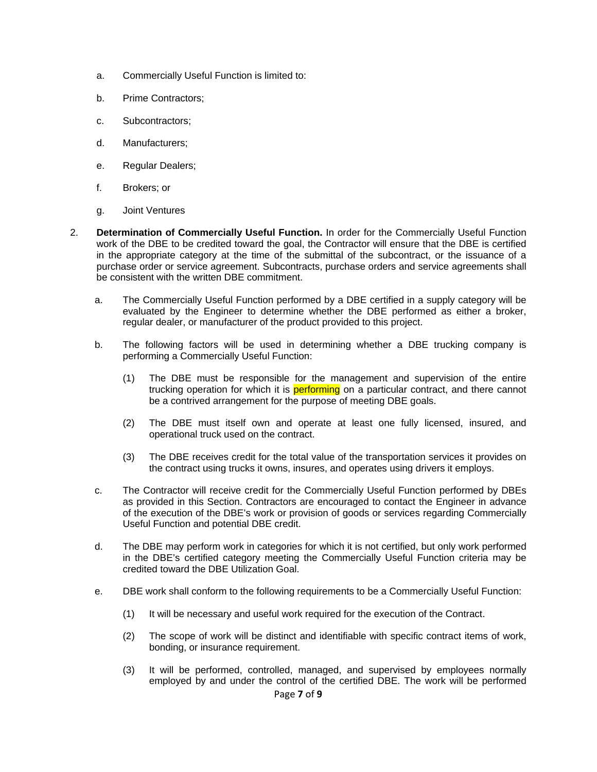- a. Commercially Useful Function is limited to:
- b. Prime Contractors;
- c. Subcontractors;
- d. Manufacturers;
- e. Regular Dealers;
- f. Brokers; or
- g. Joint Ventures
- 2. **Determination of Commercially Useful Function.** In order for the Commercially Useful Function work of the DBE to be credited toward the goal, the Contractor will ensure that the DBE is certified in the appropriate category at the time of the submittal of the subcontract, or the issuance of a purchase order or service agreement. Subcontracts, purchase orders and service agreements shall be consistent with the written DBE commitment.
	- a. The Commercially Useful Function performed by a DBE certified in a supply category will be evaluated by the Engineer to determine whether the DBE performed as either a broker, regular dealer, or manufacturer of the product provided to this project.
	- b. The following factors will be used in determining whether a DBE trucking company is performing a Commercially Useful Function:
		- (1) The DBE must be responsible for the management and supervision of the entire trucking operation for which it is **performing** on a particular contract, and there cannot be a contrived arrangement for the purpose of meeting DBE goals.
		- (2) The DBE must itself own and operate at least one fully licensed, insured, and operational truck used on the contract.
		- (3) The DBE receives credit for the total value of the transportation services it provides on the contract using trucks it owns, insures, and operates using drivers it employs.
	- c. The Contractor will receive credit for the Commercially Useful Function performed by DBEs as provided in this Section. Contractors are encouraged to contact the Engineer in advance of the execution of the DBE's work or provision of goods or services regarding Commercially Useful Function and potential DBE credit.
	- d. The DBE may perform work in categories for which it is not certified, but only work performed in the DBE's certified category meeting the Commercially Useful Function criteria may be credited toward the DBE Utilization Goal.
	- e. DBE work shall conform to the following requirements to be a Commercially Useful Function:
		- (1) It will be necessary and useful work required for the execution of the Contract.
		- (2) The scope of work will be distinct and identifiable with specific contract items of work, bonding, or insurance requirement.
		- (3) It will be performed, controlled, managed, and supervised by employees normally employed by and under the control of the certified DBE. The work will be performed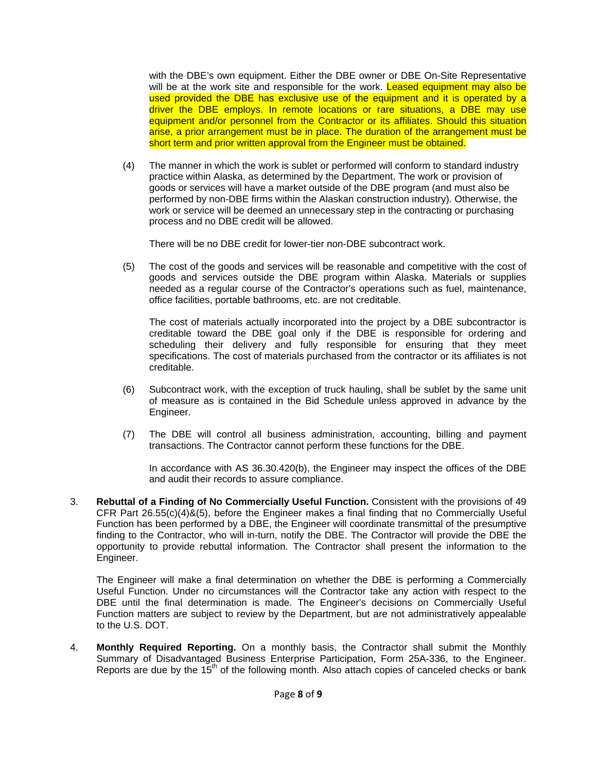with the DBE's own equipment. Either the DBE owner or DBE On-Site Representative will be at the work site and responsible for the work. Leased equipment may also be used provided the DBE has exclusive use of the equipment and it is operated by a driver the DBE employs. In remote locations or rare situations, a DBE may use equipment and/or personnel from the Contractor or its affiliates. Should this situation arise, a prior arrangement must be in place. The duration of the arrangement must be short term and prior written approval from the Engineer must be obtained.

(4) The manner in which the work is sublet or performed will conform to standard industry practice within Alaska, as determined by the Department. The work or provision of goods or services will have a market outside of the DBE program (and must also be performed by non-DBE firms within the Alaskan construction industry). Otherwise, the work or service will be deemed an unnecessary step in the contracting or purchasing process and no DBE credit will be allowed.

There will be no DBE credit for lower-tier non-DBE subcontract work.

(5) The cost of the goods and services will be reasonable and competitive with the cost of goods and services outside the DBE program within Alaska. Materials or supplies needed as a regular course of the Contractor's operations such as fuel, maintenance, office facilities, portable bathrooms, etc. are not creditable.

The cost of materials actually incorporated into the project by a DBE subcontractor is creditable toward the DBE goal only if the DBE is responsible for ordering and scheduling their delivery and fully responsible for ensuring that they meet specifications. The cost of materials purchased from the contractor or its affiliates is not creditable.

- (6) Subcontract work, with the exception of truck hauling, shall be sublet by the same unit of measure as is contained in the Bid Schedule unless approved in advance by the Engineer.
- (7) The DBE will control all business administration, accounting, billing and payment transactions. The Contractor cannot perform these functions for the DBE.

In accordance with AS 36.30.420(b), the Engineer may inspect the offices of the DBE and audit their records to assure compliance.

3. **Rebuttal of a Finding of No Commercially Useful Function.** Consistent with the provisions of 49 CFR Part 26.55(c)(4)&(5), before the Engineer makes a final finding that no Commercially Useful Function has been performed by a DBE, the Engineer will coordinate transmittal of the presumptive finding to the Contractor, who will in-turn, notify the DBE. The Contractor will provide the DBE the opportunity to provide rebuttal information. The Contractor shall present the information to the Engineer.

The Engineer will make a final determination on whether the DBE is performing a Commercially Useful Function. Under no circumstances will the Contractor take any action with respect to the DBE until the final determination is made. The Engineer's decisions on Commercially Useful Function matters are subject to review by the Department, but are not administratively appealable to the U.S. DOT.

4. **Monthly Required Reporting.** On a monthly basis, the Contractor shall submit the Monthly Summary of Disadvantaged Business Enterprise Participation, Form 25A-336, to the Engineer. Reports are due by the  $15<sup>th</sup>$  of the following month. Also attach copies of canceled checks or bank